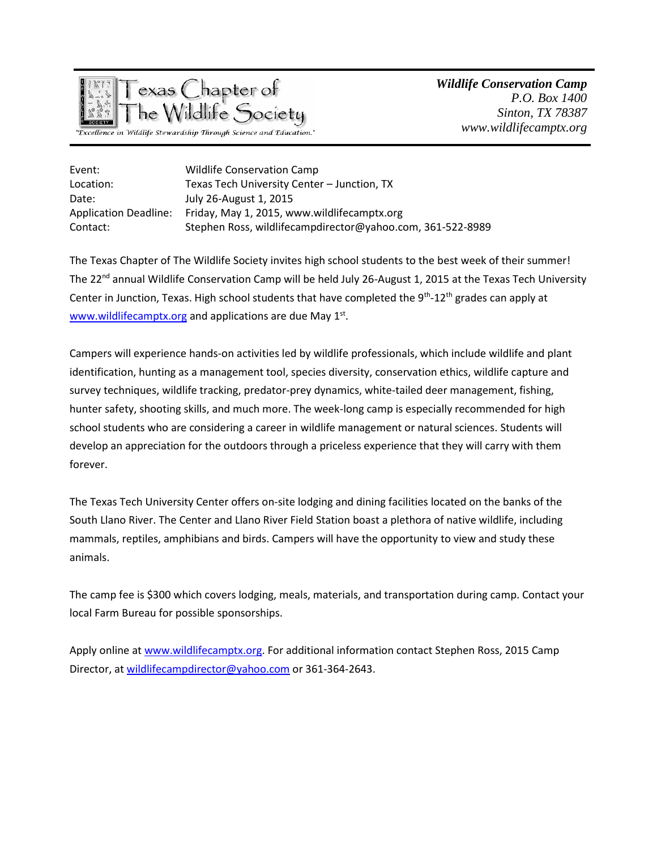

*Wildlife Conservation Camp P.O. Box 1400 Sinton, TX 78387 www.wildlifecamptx.org*

| Event:                       | <b>Wildlife Conservation Camp</b>                          |
|------------------------------|------------------------------------------------------------|
| Location:                    | Texas Tech University Center - Junction, TX                |
| Date:                        | July 26-August 1, 2015                                     |
| <b>Application Deadline:</b> | Friday, May 1, 2015, www.wildlifecamptx.org                |
| Contact:                     | Stephen Ross, wildlifecampdirector@yahoo.com, 361-522-8989 |

The Texas Chapter of The Wildlife Society invites high school students to the best week of their summer! The 22<sup>nd</sup> annual Wildlife Conservation Camp will be held July 26-August 1, 2015 at the Texas Tech University Center in Junction, Texas. High school students that have completed the  $9^{th}$ -12<sup>th</sup> grades can apply at [www.wildlifecamptx.org](http://www.wildlifecamptx.org/) and applications are due May 1<sup>st</sup>.

Campers will experience hands-on activities led by wildlife professionals, which include wildlife and plant identification, hunting as a management tool, species diversity, conservation ethics, wildlife capture and survey techniques, wildlife tracking, predator-prey dynamics, white-tailed deer management, fishing, hunter safety, shooting skills, and much more. The week-long camp is especially recommended for high school students who are considering a career in wildlife management or natural sciences. Students will develop an appreciation for the outdoors through a priceless experience that they will carry with them forever.

The Texas Tech University Center offers on-site lodging and dining facilities located on the banks of the South Llano River. The Center and Llano River Field Station boast a plethora of native wildlife, including mammals, reptiles, amphibians and birds. Campers will have the opportunity to view and study these animals.

The camp fee is \$300 which covers lodging, meals, materials, and transportation during camp. Contact your local Farm Bureau for possible sponsorships.

Apply online at [www.wildlifecamptx.org.](http://www.wildlifecamptx.org/) For additional information contact Stephen Ross, 2015 Camp Director, at [wildlifecampdirector@yahoo.com](mailto:wildlifecampdirector@yahoo.com) or 361-364-2643.